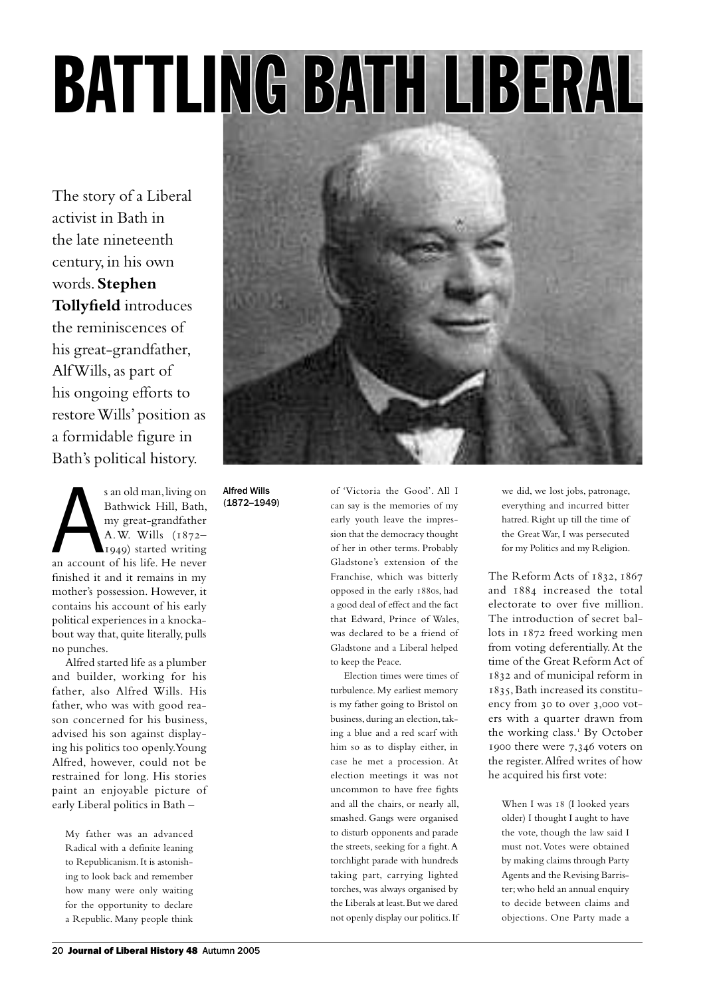# BATTLING BATH LIBERAL

The story of a Liberal activist in Bath in the late nineteenth century, in his own words. **Stephen Tollyfield** introduces the reminiscences of his great-grandfather, Alf Wills, as part of his ongoing efforts to restore Wills' position as a formidable figure in Bath's political history.

s an old man, living on<br>Bathwick Hill, Bath,<br>my great-grandfather<br>A.W. Wills (1872–1949) started writing<br>an account of his life. He never s an old man, living on Bathwick Hill, Bath, my great-grandfather A.W. Wills (1872– 1949) started writing finished it and it remains in my mother's possession. However, it contains his account of his early political experiences in a knockabout way that, quite literally, pulls no punches.

Alfred started life as a plumber and builder, working for his father, also Alfred Wills. His father, who was with good reason concerned for his business, advised his son against displaying his politics too openly. Young Alfred, however, could not be restrained for long. His stories paint an enjoyable picture of early Liberal politics in Bath –

My father was an advanced Radical with a definite leaning to Republicanism. It is astonishing to look back and remember how many were only waiting for the opportunity to declare a Republic. Many people think



Alfred Wills (1872–1949)

of 'Victoria the Good'. All I can say is the memories of my early youth leave the impression that the democracy thought of her in other terms. Probably Gladstone's extension of the Franchise, which was bitterly opposed in the early 1880s, had a good deal of effect and the fact that Edward, Prince of Wales, was declared to be a friend of Gladstone and a Liberal helped to keep the Peace.

Election times were times of turbulence. My earliest memory is my father going to Bristol on business, during an election, taking a blue and a red scarf with him so as to display either, in case he met a procession. At election meetings it was not uncommon to have free fights and all the chairs, or nearly all, smashed. Gangs were organised to disturb opponents and parade the streets, seeking for a fight. A torchlight parade with hundreds taking part, carrying lighted torches, was always organised by the Liberals at least. But we dared not openly display our politics. If we did, we lost jobs, patronage, everything and incurred bitter hatred. Right up till the time of the Great War, I was persecuted for my Politics and my Religion.

The Reform Acts of 1832, 1867 and 1884 increased the total electorate to over five million. The introduction of secret ballots in 1872 freed working men from voting deferentially. At the time of the Great Reform Act of 1832 and of municipal reform in 1835, Bath increased its constituency from 30 to over 3,000 voters with a quarter drawn from the working class.<sup>1</sup> By October 1900 there were 7,346 voters on the register. Alfred writes of how he acquired his first vote:

When I was 18 (I looked years older) I thought I aught to have the vote, though the law said I must not. Votes were obtained by making claims through Party Agents and the Revising Barrister; who held an annual enquiry to decide between claims and objections. One Party made a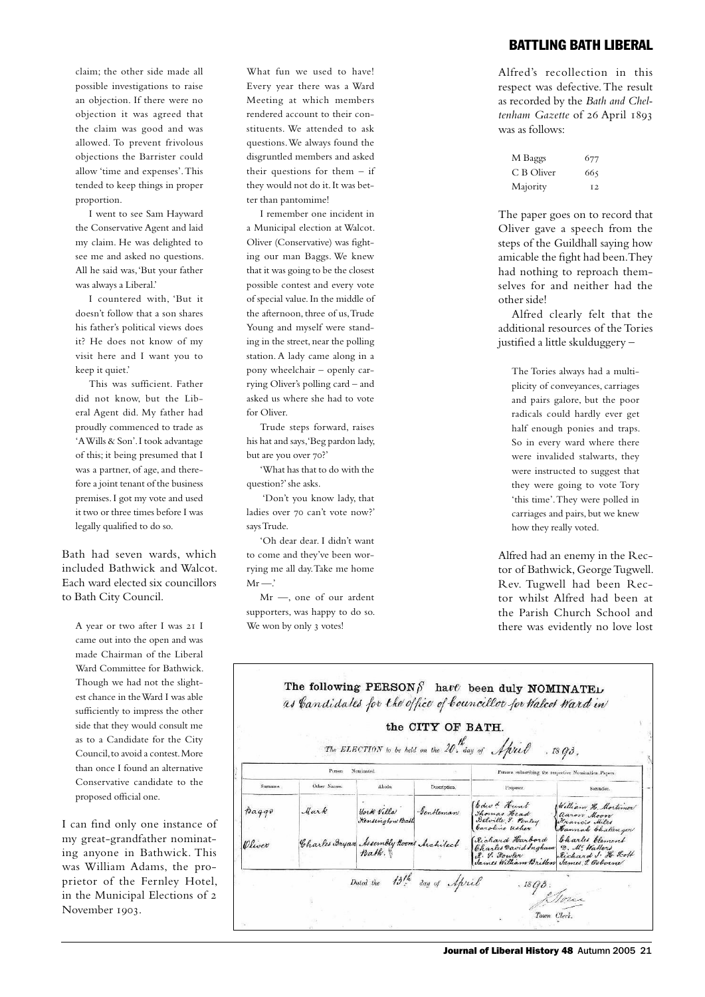claim; the other side made all possible investigations to raise an objection. If there were no objection it was agreed that the claim was good and was allowed. To prevent frivolous objections the Barrister could allow 'time and expenses'. This tended to keep things in proper proportion.

I went to see Sam Hayward the Conservative Agent and laid my claim. He was delighted to see me and asked no questions. All he said was, 'But your father was always a Liberal.'

I countered with, 'But it doesn't follow that a son shares his father's political views does it? He does not know of my visit here and I want you to keep it quiet.'

This was sufficient. Father did not know, but the Liberal Agent did. My father had proudly commenced to trade as 'A Wills & Son'. I took advantage of this; it being presumed that I was a partner, of age, and therefore a joint tenant of the business premises. I got my vote and used it two or three times before I was legally qualified to do so.

Bath had seven wards, which included Bathwick and Walcot. Each ward elected six councillors to Bath City Council.

A year or two after I was 21 I came out into the open and was made Chairman of the Liberal Ward Committee for Bathwick. Though we had not the slightest chance in the Ward I was able sufficiently to impress the other side that they would consult me as to a Candidate for the City Council, to avoid a contest. More than once I found an alternative Conservative candidate to the proposed official one.

I can find only one instance of my great-grandfather nominating anyone in Bathwick. This was William Adams, the proprietor of the Fernley Hotel, in the Municipal Elections of 2 November 1903.

What fun we used to have! Every year there was a Ward Meeting at which members rendered account to their constituents. We attended to ask questions. We always found the disgruntled members and asked their questions for them – if they would not do it. It was better than pantomime!

I remember one incident in a Municipal election at Walcot. Oliver (Conservative) was fighting our man Baggs. We knew that it was going to be the closest possible contest and every vote of special value. In the middle of the afternoon, three of us, Trude Young and myself were standing in the street, near the polling station. A lady came along in a pony wheelchair – openly carrying Oliver's polling card – and asked us where she had to vote for Oliver.

Trude steps forward, raises his hat and says, 'Beg pardon lady, but are you over 70?'

'What has that to do with the question?' she asks.

 'Don't you know lady, that ladies over 70 can't vote now?' says Trude.

'Oh dear dear. I didn't want to come and they've been worrying me all day. Take me home  $Mr -$ '

Mr —, one of our ardent supporters, was happy to do so. We won by only 3 votes!

## battling bath liberal

Alfred's recollection in this respect was defective. The result as recorded by the *Bath and Cheltenham Gazette* of 26 April 1893 was as follows:

| M Baggs    | 677            |
|------------|----------------|
| C B Oliver | 665            |
| Majority   | T <sub>2</sub> |

The paper goes on to record that Oliver gave a speech from the steps of the Guildhall saying how amicable the fight had been. They had nothing to reproach themselves for and neither had the other side!

Alfred clearly felt that the additional resources of the Tories justified a little skulduggery –

The Tories always had a multiplicity of conveyances, carriages and pairs galore, but the poor radicals could hardly ever get half enough ponies and traps. So in every ward where there were invalided stalwarts, they were instructed to suggest that they were going to vote Tory 'this time'. They were polled in carriages and pairs, but we knew how they really voted.

Alfred had an enemy in the Rector of Bathwick, George Tugwell. Rev. Tugwell had been Rector whilst Alfred had been at the Parish Church School and there was evidently no love lost

|                     |             |                                                 | the CITY OF BATH.                                     | The ELECTION to be held on the 20. day of April                                  | $.$ $18$ $93$ .                                                             |
|---------------------|-------------|-------------------------------------------------|-------------------------------------------------------|----------------------------------------------------------------------------------|-----------------------------------------------------------------------------|
| Nominated<br>Person |             |                                                 | Persons subscribing the respective Nomination Papers. |                                                                                  |                                                                             |
| Surname.            | Other Names | Abode.                                          | Description.                                          | Proposer.                                                                        | Seconder.                                                                   |
| haqqv               | Mark        | York Villa<br>Kensington Bath                   | Gentleman                                             | Edw & Hunt<br>Thomas Head<br>Belville 9. Fenley<br>Caroline usher                | William H. Mortimer<br>aaron Moon<br>Francis Miles<br>Hannah Challenger     |
| Oliver              |             | Charles Bryan Assembly Rooms Architect<br>Bath. |                                                       | Richard Harbord<br>Charles David Ingham<br>R. S. Howler<br>James William Britten | Charles Clement<br>D. M. Watters<br>Richard J. H. Scott<br>James I. Osborne |
|                     |             | Dated the 13th day of April                     |                                                       | $\frac{1803}{\sqrt{5}}$                                                          |                                                                             |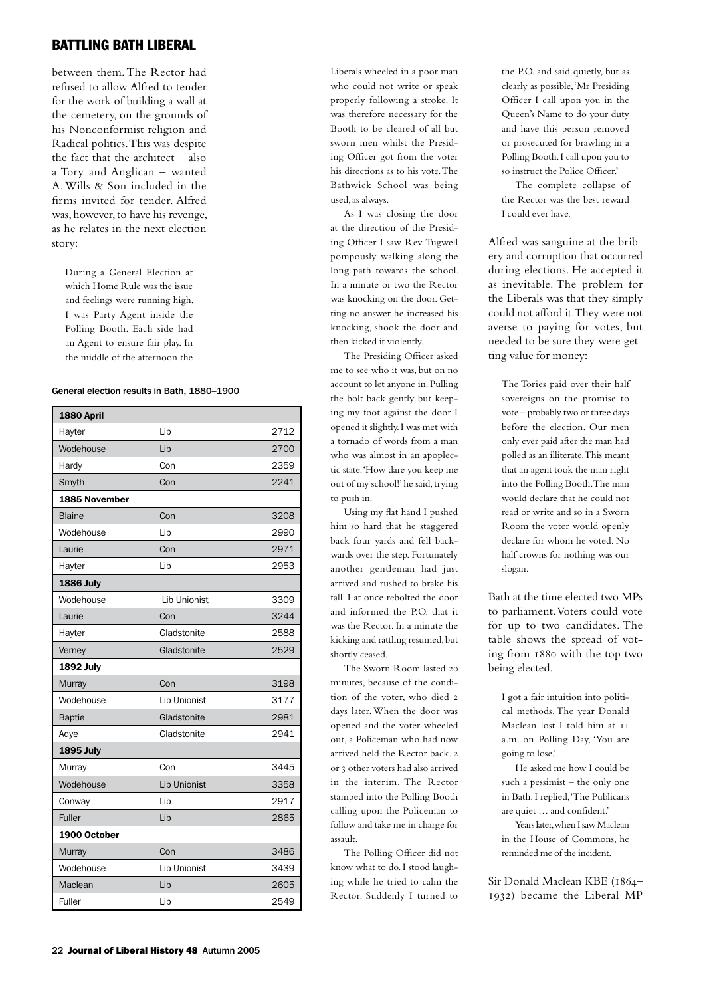# battling bath liberal

between them. The Rector had refused to allow Alfred to tender for the work of building a wall at the cemetery, on the grounds of his Nonconformist religion and Radical politics. This was despite the fact that the architect – also a Tory and Anglican – wanted A. Wills & Son included in the firms invited for tender. Alfred was, however, to have his revenge, as he relates in the next election story:

During a General Election at which Home Rule was the issue and feelings were running high, I was Party Agent inside the Polling Booth. Each side had an Agent to ensure fair play. In the middle of the afternoon the

#### General election results in Bath, 1880–1900

| 1880 April       |                     |      |
|------------------|---------------------|------|
| Hayter           | Lib                 | 2712 |
| Wodehouse        | Lib                 | 2700 |
| Hardy            | Con                 | 2359 |
| Smyth            | Con                 | 2241 |
| 1885 November    |                     |      |
| <b>Blaine</b>    | Con                 | 3208 |
| Wodehouse        | Lib                 | 2990 |
| Laurie           | Con                 | 2971 |
| Hayter           | Lib                 | 2953 |
| <b>1886 July</b> |                     |      |
| Wodehouse        | <b>Lib Unionist</b> | 3309 |
| Laurie           | Con                 | 3244 |
| Hayter           | Gladstonite         | 2588 |
| Verney           | Gladstonite         | 2529 |
| <b>1892 July</b> |                     |      |
| Murray           | Con                 | 3198 |
| Wodehouse        | <b>Lib Unionist</b> | 3177 |
| <b>Baptie</b>    | Gladstonite         | 2981 |
| Adye             | Gladstonite         | 2941 |
| <b>1895 July</b> |                     |      |
| Murray           | Con                 | 3445 |
| Wodehouse        | <b>Lib Unionist</b> | 3358 |
| Conway           | Lib                 | 2917 |
| <b>Fuller</b>    | Lib                 | 2865 |
| 1900 October     |                     |      |
| <b>Murray</b>    | Con                 | 3486 |
| Wodehouse        | <b>Lib Unionist</b> | 3439 |
| Maclean          | Lib                 | 2605 |
| <b>Fuller</b>    | Lib                 | 2549 |

Liberals wheeled in a poor man who could not write or speak properly following a stroke. It was therefore necessary for the Booth to be cleared of all but sworn men whilst the Presiding Officer got from the voter his directions as to his vote. The Bathwick School was being used, as always.

As I was closing the door at the direction of the Presiding Officer I saw Rev. Tugwell pompously walking along the long path towards the school. In a minute or two the Rector was knocking on the door. Getting no answer he increased his knocking, shook the door and then kicked it violently.

The Presiding Officer asked me to see who it was, but on no account to let anyone in. Pulling the bolt back gently but keeping my foot against the door I opened it slightly. I was met with a tornado of words from a man who was almost in an apoplectic state. 'How dare you keep me out of my school!' he said, trying to push in.

Using my flat hand I pushed him so hard that he staggered back four yards and fell backwards over the step. Fortunately another gentleman had just arrived and rushed to brake his fall. I at once rebolted the door and informed the P.O. that it was the Rector. In a minute the kicking and rattling resumed, but shortly ceased.

The Sworn Room lasted 20 minutes, because of the condition of the voter, who died 2 days later. When the door was opened and the voter wheeled out, a Policeman who had now arrived held the Rector back. 2 or 3 other voters had also arrived in the interim. The Rector stamped into the Polling Booth calling upon the Policeman to follow and take me in charge for assault.

The Polling Officer did not know what to do. I stood laughing while he tried to calm the Rector. Suddenly I turned to the P.O. and said quietly, but as clearly as possible, 'Mr Presiding Officer I call upon you in the Queen's Name to do your duty and have this person removed or prosecuted for brawling in a Polling Booth. I call upon you to so instruct the Police Officer.'

The complete collapse of the Rector was the best reward I could ever have.

Alfred was sanguine at the bribery and corruption that occurred during elections. He accepted it as inevitable. The problem for the Liberals was that they simply could not afford it. They were not averse to paying for votes, but needed to be sure they were getting value for money:

The Tories paid over their half sovereigns on the promise to vote – probably two or three days before the election. Our men only ever paid after the man had polled as an illiterate. This meant that an agent took the man right into the Polling Booth. The man would declare that he could not read or write and so in a Sworn Room the voter would openly declare for whom he voted. No half crowns for nothing was our slogan.

Bath at the time elected two MPs to parliament. Voters could vote for up to two candidates. The table shows the spread of voting from 1880 with the top two being elected.

I got a fair intuition into political methods. The year Donald Maclean lost I told him at 11 a.m. on Polling Day, 'You are going to lose.'

He asked me how I could be such a pessimist – the only one in Bath. I replied, 'The Publicans are quiet … and confident.'

Years later, when I saw Maclean in the House of Commons, he reminded me of the incident.

Sir Donald Maclean KBE (1864– 1932) became the Liberal MP